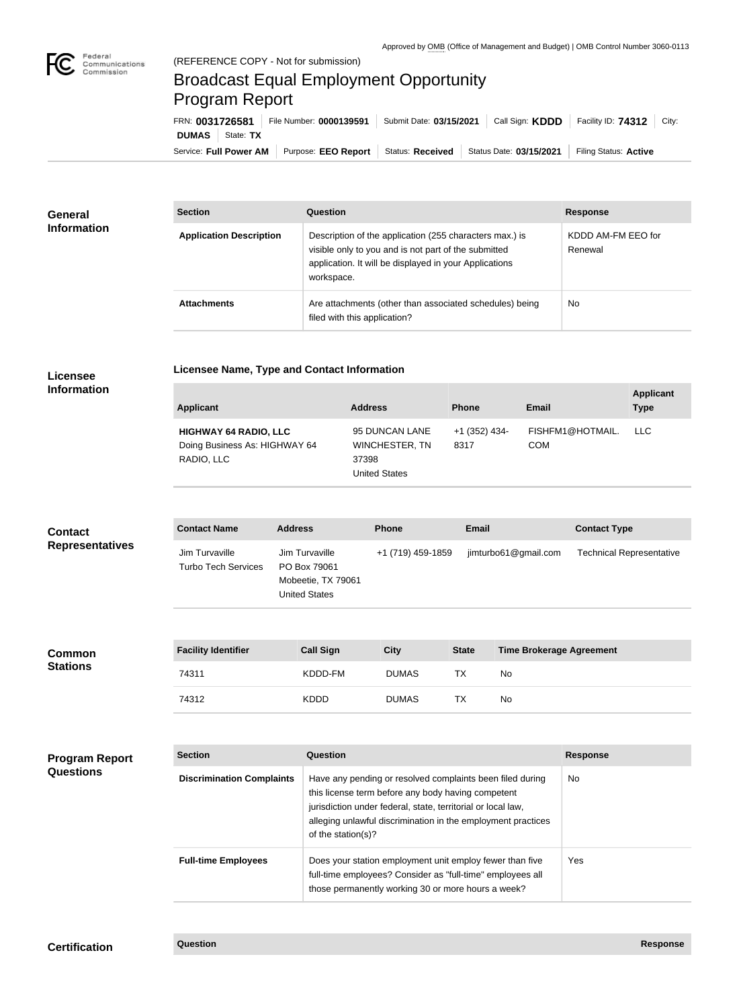

п

## Broadcast Equal Employment Opportunity Program Report

**Licensee Name, Type and Contact Information**

Service: Full Power AM | Purpose: EEO Report | Status: Received | Status Date: 03/15/2021 | Filing Status: Active **DUMAS** State: TX FRN: **0031726581** File Number: **0000139591** Submit Date: **03/15/2021** Call Sign: **KDDD** Facility ID: **74312** City:

| <b>General</b><br><b>Information</b> | <b>Section</b>                 | Question                                                                                                                                                                                | <b>Response</b>               |
|--------------------------------------|--------------------------------|-----------------------------------------------------------------------------------------------------------------------------------------------------------------------------------------|-------------------------------|
|                                      | <b>Application Description</b> | Description of the application (255 characters max.) is<br>visible only to you and is not part of the submitted<br>application. It will be displayed in your Applications<br>workspace. | KDDD AM-FM EEO for<br>Renewal |
|                                      | <b>Attachments</b>             | Are attachments (other than associated schedules) being<br>filed with this application?                                                                                                 | No.                           |

## **Licensee Information**

**Common Stations**

| Applicant                                                                   | <b>Address</b>                                                    | <b>Phone</b>          | <b>Email</b>                   | <b>Applicant</b><br><b>Type</b> |
|-----------------------------------------------------------------------------|-------------------------------------------------------------------|-----------------------|--------------------------------|---------------------------------|
| <b>HIGHWAY 64 RADIO, LLC</b><br>Doing Business As: HIGHWAY 64<br>RADIO, LLC | 95 DUNCAN LANE<br>WINCHESTER, TN<br>37398<br><b>United States</b> | +1 (352) 434-<br>8317 | FISHFM1@HOTMAIL.<br><b>COM</b> | LLC.                            |

| <b>Contact</b><br><b>Representatives</b> | <b>Contact Name</b>                          | <b>Address</b>                                                               | <b>Phone</b>      | <b>Email</b>         | <b>Contact Type</b>             |
|------------------------------------------|----------------------------------------------|------------------------------------------------------------------------------|-------------------|----------------------|---------------------------------|
|                                          | Jim Turvaville<br><b>Turbo Tech Services</b> | Jim Turvaville<br>PO Box 79061<br>Mobeetie, TX 79061<br><b>United States</b> | +1 (719) 459-1859 | jimturbo61@gmail.com | <b>Technical Representative</b> |
|                                          |                                              |                                                                              |                   |                      |                                 |

| <b>Facility Identifier</b> | <b>Call Sign</b> | <b>City</b>  | <b>State</b> | <b>Time Brokerage Agreement</b> |
|----------------------------|------------------|--------------|--------------|---------------------------------|
| 74311                      | KDDD-FM          | <b>DUMAS</b> | ТX           | No.                             |
| 74312                      | <b>KDDD</b>      | <b>DUMAS</b> | ТX           | No.                             |

| <b>Program Report</b><br><b>Questions</b> | <b>Section</b>                   | Question                                                                                                                                                                                                                                                              | <b>Response</b> |
|-------------------------------------------|----------------------------------|-----------------------------------------------------------------------------------------------------------------------------------------------------------------------------------------------------------------------------------------------------------------------|-----------------|
|                                           | <b>Discrimination Complaints</b> | Have any pending or resolved complaints been filed during<br>this license term before any body having competent<br>jurisdiction under federal, state, territorial or local law,<br>alleging unlawful discrimination in the employment practices<br>of the station(s)? | <b>No</b>       |
|                                           | <b>Full-time Employees</b>       | Does your station employment unit employ fewer than five<br>full-time employees? Consider as "full-time" employees all<br>those permanently working 30 or more hours a week?                                                                                          | Yes             |